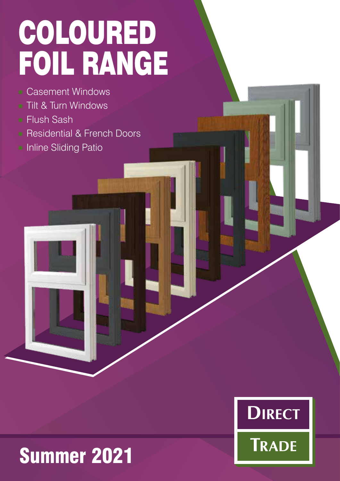# COLOURED FOIL RANGE

- Casement Windows
- Tilt & Turn Windows
- Flush Sash
- Residential & French Doors
- **Inline Sliding Patio**



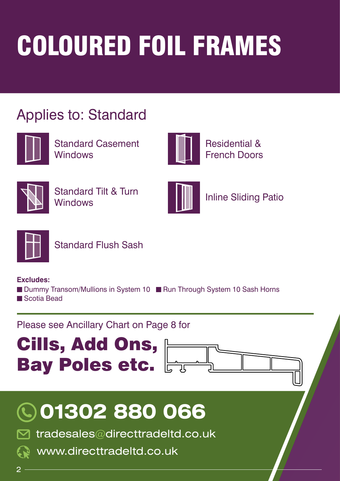# COLOURED FOIL FRAMES

#### Applies to: Standard



Standard Casement **Windows** 



Residential & French Doors



Standard Tilt & Turn **Windows** 



Inline Sliding Patio



Standard Flush Sash

**Excludes:** 

■ Dummy Transom/Mullions in System 10 ■ Run Through System 10 Sash Horns Scotia Bead

#### Please see Ancillary Chart on Page 8 for







tradesales@directtradeltd.co.uk

www.directtradeltd.co.uk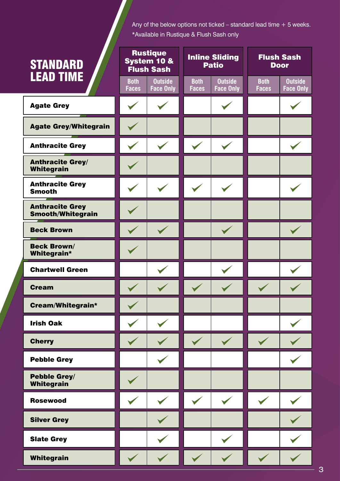Any of the below options not ticked – standard lead time + 5 weeks. \*Available in Rustique & Flush Sash only

| <b>STANDARD</b><br><b>LEAD TIME</b>         | <b>Rustique</b><br>System 10 &<br><b>Flush Sash</b> |                                    | <b>Inline Sliding</b><br><b>Patio</b> |                                    | <b>Flush Sash</b><br><b>Door</b> |                             |
|---------------------------------------------|-----------------------------------------------------|------------------------------------|---------------------------------------|------------------------------------|----------------------------------|-----------------------------|
|                                             | <b>Both</b><br><b>Faces</b>                         | <b>Outside</b><br><b>Face Only</b> | <b>Both</b><br><b>Faces</b>           | <b>Outside</b><br><b>Face Only</b> | <b>Both</b><br><b>Faces</b>      | <b>Outside</b><br>Face Only |
| <b>Agate Grey</b>                           | $\checkmark$                                        |                                    |                                       |                                    |                                  |                             |
| <b>Agate Grey/Whitegrain</b>                |                                                     |                                    |                                       |                                    |                                  |                             |
| <b>Anthracite Grey</b>                      |                                                     |                                    |                                       |                                    |                                  |                             |
| <b>Anthracite Grey/</b><br>Whitegrain       |                                                     |                                    |                                       |                                    |                                  |                             |
| <b>Anthracite Grey</b><br><b>Smooth</b>     |                                                     |                                    |                                       |                                    |                                  |                             |
| <b>Anthracite Grey</b><br>Smooth/Whitegrain |                                                     |                                    |                                       |                                    |                                  |                             |
| <b>Beck Brown</b>                           |                                                     |                                    |                                       |                                    |                                  |                             |
| <b>Beck Brown/</b><br>Whitegrain*           |                                                     |                                    |                                       |                                    |                                  |                             |
| <b>Chartwell Green</b>                      |                                                     |                                    |                                       |                                    |                                  |                             |
| <b>Cream</b>                                |                                                     |                                    |                                       |                                    |                                  |                             |
| Cream/Whitegrain*                           |                                                     |                                    |                                       |                                    |                                  |                             |
| <b>Irish Oak</b>                            |                                                     |                                    |                                       |                                    |                                  |                             |
| <b>Cherry</b>                               |                                                     |                                    |                                       |                                    |                                  |                             |
| <b>Pebble Grey</b>                          |                                                     |                                    |                                       |                                    |                                  |                             |
| Pebble Grey/<br>Whitegrain                  |                                                     |                                    |                                       |                                    |                                  |                             |
| <b>Rosewood</b>                             |                                                     |                                    |                                       |                                    |                                  |                             |
| <b>Silver Grey</b>                          |                                                     |                                    |                                       |                                    |                                  |                             |
| <b>Slate Grey</b>                           |                                                     |                                    |                                       |                                    |                                  |                             |
| Whitegrain                                  |                                                     |                                    |                                       |                                    |                                  |                             |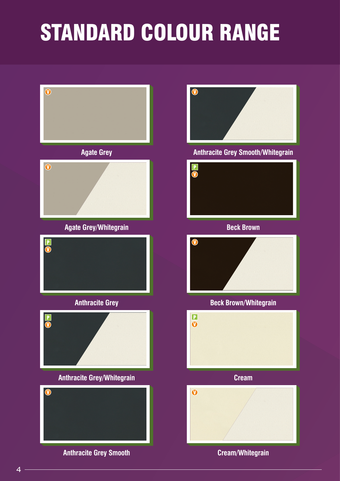## STANDARD COLOUR RANGE



4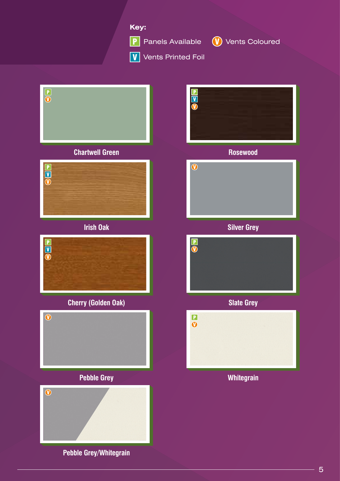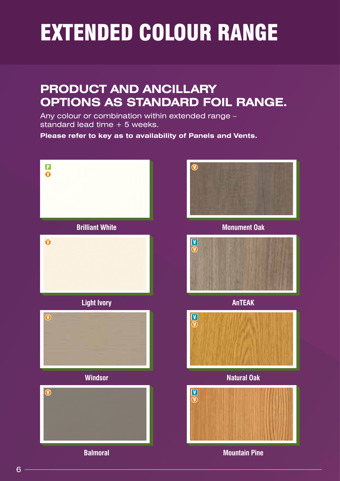## EXTENDED COLOUR RANGE

#### **PRODUCT AND ANCILLARY OPTIONS AS STANDARD FOIL RANGE.**

Any colour or combination within extended range – standard lead time + 5 weeks.

**Please refer to key as to availability of Panels and Vents.**

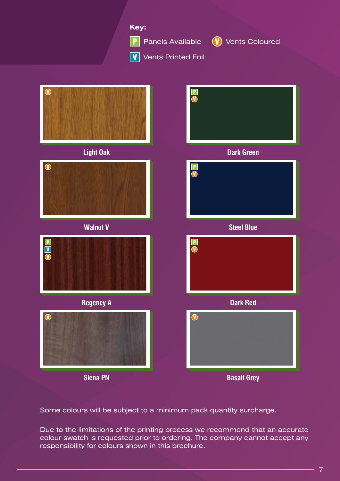

Some colours will be subject to a minimum pack quantity surcharge.

Due to the limitations of the printing process we recommend that an accurate colour swatch is requested prior to ordering. The company cannot accept any responsibility for colours shown in this brochure.